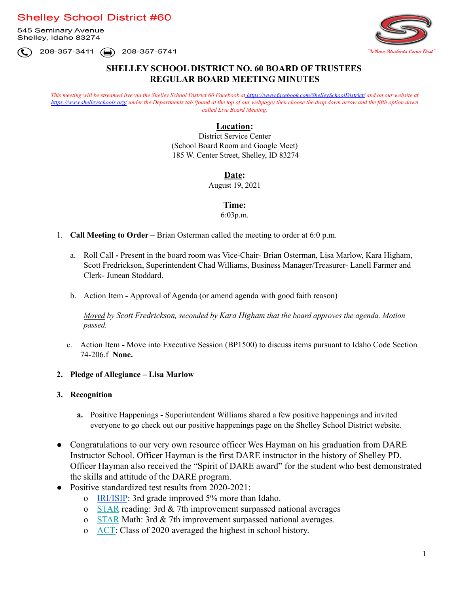**Shelley School District #60** 

545 Seminary Avenue Shelley, Idaho 83274

Where Students Come First

(□) 208-357-5741 208-357-3411

## **SHELLEY SCHOOL DISTRICT NO. 60 BOARD OF TRUSTEES REGULAR BOARD MEETING MINUTES**

This meeting will be streamed live via the Shelley School District 60 Facebook at [https://www.facebook.com/ShelleySchoolDistrict/](https://www.facebook.com/ShelleySchoolDIstrict/) and on our website at <https://www.shelleyschools.org/> under the Departments tab (found at the top of our webpage) then choose the drop down arrow and the fifth option down *called Live Board Meeting.*

### **Location:**

District Service Center (School Board Room and Google Meet) 185 W. Center Street, Shelley, ID 83274

### **Date:**

August 19, 2021

### **Time:**

6:03p.m.

- 1. **Call Meeting to Order –** Brian Osterman called the meeting to order at 6:0 p.m.
	- a. Roll Call **-** Present in the board room was Vice-Chair- Brian Osterman, Lisa Marlow, Kara Higham, Scott Fredrickson, Superintendent Chad Williams, Business Manager/Treasurer- Lanell Farmer and Clerk- Junean Stoddard.
	- b. Action Item **-** Approval of Agenda (or amend agenda with good faith reason)

*Moved by Scott Fredrickson, seconded by Kara Higham that the board approves the agenda. Motion passed.*

c. Action Item **-** Move into [Executive](https://docs.google.com/document/d/1Zp4sjvq92WuZKs1OjpZ9kQYtsT_ja1hNiM2LQzjY-rE/edit?ts=5d28e60f) Session (BP1500) to discuss items pursuant to Idaho Code [Section](https://legislature.idaho.gov/statutesrules/idstat/title74/t74ch2/sect74-206/) [74-206.f](https://legislature.idaho.gov/statutesrules/idstat/title74/t74ch2/sect74-206/) **None.**

#### **2. Pledge of Allegiance – Lisa Marlow**

#### **3. Recognition**

- **a.** Positive Happenings **-** Superintendent Williams shared a few positive happenings and invited everyone to go check out our positive happenings page on the Shelley School District website.
- Congratulations to our very own resource officer Wes Hayman on his graduation from DARE Instructor School. Officer Hayman is the first DARE instructor in the history of Shelley PD. Officer Hayman also received the "Spirit of DARE award" for the student who best demonstrated the skills and attitude of the DARE program.
- Positive standardized test results from 2020-2021:
	- o [IRI/ISIP](https://docs.google.com/spreadsheets/d/1nixYcfbhVdcIxp9qqMXq80t6x0IhPiDatSSFgDJ4Z94/edit#gid=152561078): 3rd grade improved 5% more than Idaho.
	- o [STAR](https://docs.google.com/spreadsheets/d/1nixYcfbhVdcIxp9qqMXq80t6x0IhPiDatSSFgDJ4Z94/edit#gid=1488166003) reading: 3rd & 7th improvement surpassed national averages
	- o [STAR](https://docs.google.com/spreadsheets/d/1nixYcfbhVdcIxp9qqMXq80t6x0IhPiDatSSFgDJ4Z94/edit#gid=1488166003) Math: 3rd & 7th improvement surpassed national averages.
	- o [ACT:](https://docs.google.com/spreadsheets/d/1nixYcfbhVdcIxp9qqMXq80t6x0IhPiDatSSFgDJ4Z94/edit#gid=1214733219) Class of 2020 averaged the highest in school history.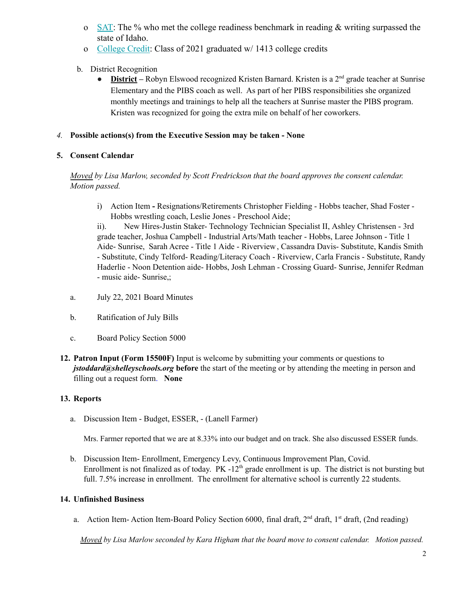- o [SAT:](https://docs.google.com/spreadsheets/d/1nixYcfbhVdcIxp9qqMXq80t6x0IhPiDatSSFgDJ4Z94/edit#gid=318388027) The % who met the college readiness benchmark in reading  $\&$  writing surpassed the state of Idaho.
- o [College Credit:](https://docs.google.com/spreadsheets/d/15yTzuptjgDSv9dUZjsMo7VC6bVvyLHdQeQVx53s7JwE/edit#gid=159295994) Class of 2021 graduated w/ 1413 college credits
- b. District Recognition
	- **District** Robyn Elswood recognized Kristen Barnard. Kristen is a 2<sup>nd</sup> grade teacher at Sunrise Elementary and the PIBS coach as well. As part of her PIBS responsibilities she organized monthly meetings and trainings to help all the teachers at Sunrise master the PIBS program. Kristen was recognized for going the extra mile on behalf of her coworkers.

### *4.* **Possible actions(s) from the Executive Session may be taken - None**

## **5. Consent Calendar**

*Moved by Lisa Marlow, seconded by Scott Fredrickson that the board approves the consent calendar. Motion passed.*

i) Action Item **-** Resignations/Retirements [Christopher](https://drive.google.com/file/d/1aMmC77hI7E7PCYH39S3NpbmhXc3_AiOU/view?usp=sharing) Fielding - Hobbs teacher, Shad [Foster](https://drive.google.com/file/d/1GJRR7ql37HjGjEOSFFqU9BSP9V6uxXMC/view?usp=sharing) - Hobbs [wrestling](https://drive.google.com/file/d/1GJRR7ql37HjGjEOSFFqU9BSP9V6uxXMC/view?usp=sharing) coach, Leslie Jones - [Preschool](https://drive.google.com/file/d/1a4TbdikDWwfNJIHWOyznVm04WBhmy7I9/view?usp=sharing) Aide;

ii). New Hires-Justin Staker- [Technology](https://drive.google.com/file/d/1hORsiwO7WIIL5yJuN8TrpPK1tMXS-2Op/view?usp=sharing) Technician Specialist II, Ashley [Christensen](https://drive.google.com/file/d/1P48prU1V8ea1V0H6_TkepNUGHTYZpxaf/view?usp=sharing) - 3rd grade [teacher](https://drive.google.com/file/d/1P48prU1V8ea1V0H6_TkepNUGHTYZpxaf/view?usp=sharing), Joshua Campbell - Industrial [Arts/Math](https://drive.google.com/file/d/1YBfODdbeRZghax9tGyIvQURUPzEwruH0/view?usp=sharing) teacher - [Hobbs,](https://drive.google.com/file/d/1tLu7e6Ra9h0GjAflWoEXoZfVVpJM4sb9/view?usp=sharing) Laree [Johnson](https://drive.google.com/file/d/19tlo095UbbwO5PHdcUViqx6rkOsM2Rx8/view?usp=sharing) - Title 1 Aide- [Sunrise](https://drive.google.com/file/d/19tlo095UbbwO5PHdcUViqx6rkOsM2Rx8/view?usp=sharing), Sarah Acree - Title 1 Aide - [Riverview](https://drive.google.com/file/d/12ovbTaOeXiSPCI5RsBnAt1EtEc-lgD4i/view?usp=sharing), [Cassandra](https://drive.google.com/file/d/1fsnWlBL7ExQmS5oqpKRUmyzQsSKEws0J/view?usp=sharing) Davis- Substitute, [Kandis](https://drive.google.com/file/d/1UfzrsyXno7n3sONIKfvRU0BjMzCGsDCO/view?usp=sharing) Smith - [Substitute,](https://drive.google.com/file/d/1UfzrsyXno7n3sONIKfvRU0BjMzCGsDCO/view?usp=sharing) Cindy Telford- [Reading/Literacy](https://drive.google.com/file/d/1bovJ8tUJWyx2L8RBO5jKjeuSpzOCy1W7/view?usp=sharing) Coach - Riverview, Carla Francis - [Substitute](https://drive.google.com/file/d/1xXwf22jl5G4WcS2WmX1xy79vaTgPYHJi/view?usp=sharing), [Randy](https://drive.google.com/file/d/1jeJgSqMHl_0VXTbcpfouoDeRH1gMOydt/view?usp=sharing) Haderlie - Noon [Detention](https://drive.google.com/file/d/1jeJgSqMHl_0VXTbcpfouoDeRH1gMOydt/view?usp=sharing) aide- Hobbs, Josh Lehman - [Crossing](https://drive.google.com/file/d/1nfPztGrVi_8yHfcl2WCMdMAAjDsX_eZk/view?usp=sharing) Guard- Sunrise, Jennifer [Redman](https://drive.google.com/file/d/1Z44tpJwHWnkhZ64_pdd-TXv_yGIujqtR/view?usp=sharing) - music aide- [Sunrise,](https://drive.google.com/file/d/1Z44tpJwHWnkhZ64_pdd-TXv_yGIujqtR/view?usp=sharing);

- a. July 22, 2021 Board Minutes
- b. Ratification of July Bills
- c. Board Policy Section 5000
- **12. Patron Input (Form [15500F\)](https://docs.google.com/document/d/1zktEuoyPXmFa0RoC4uRNW_ocb80l4wtOdhKJnprsmlA/edit?ts=5d28e76b)** Input is welcome by submitting your comments or questions to *[jstoddard@shelleyschools.org](mailto:sharker@shelleyschools.org)* **before** the start of the meeting or by attending the meeting in person and filling out a request form. **None**

# **13. Reports**

a. Discussion Item - Budget, ESSER, - (Lanell Farmer)

Mrs. Farmer reported that we are at 8.33% into our budget and on track. She also discussed ESSER funds.

b. Discussion Item- Enrollment, Emergency Levy, Continuous Improvement Plan, Covid. Enrollment is not finalized as of today. PK -12<sup>th</sup> grade enrollment is up. The district is not bursting but full. 7.5% increase in enrollment. The enrollment for alternative school is currently 22 students.

# **14. Unfinished Business**

a. Action Item-Action Item-Board Policy Section 6000, final [draft](https://docs.google.com/document/d/14wA6SKibiSz5fB5F8sslF9KYINxHpn2Ju_Gl_G_-l3E/edit), 2<sup>nd</sup> draft, 1<sup>st</sup> draft, (2nd reading)

*Moved by Lisa Marlow seconded by Kara Higham that the board move to consent calendar. Motion passed.*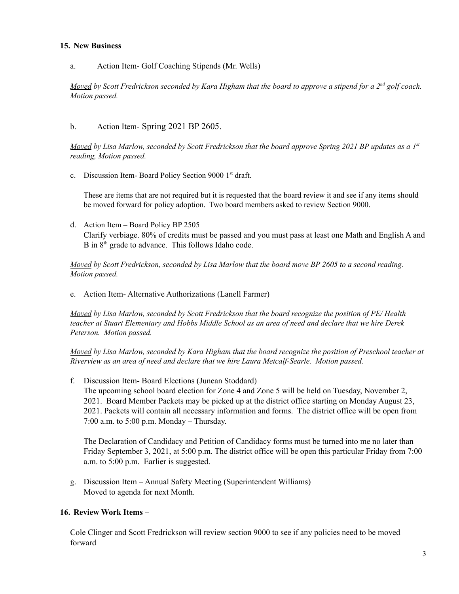### **15. New Business**

#### a. Action Item- Golf Coaching Stipends (Mr. Wells)

*Moved by Scott Fredrickson seconded by Kara Higham that the board to approve a stipend for a 2nd golf coach. Motion passed.*

### b. Action Item- Spring 2021 BP 2605.

*Moved by Lisa Marlow, seconded by Scott Fredrickson that the board approve Spring 2021 BP updates as a 1st reading, Motion passed.*

c. Discussion Item-Board Policy Section 9000 1<sup>st</sup> draft.

These are items that are not required but it is requested that the board review it and see if any items should be moved forward for policy adoption. Two board members asked to review Section 9000.

d. Action Item – Board Policy BP 2505 Clarify verbiage. 80% of credits must be passed and you must pass at least one Math and English A and B in 8<sup>th</sup> grade to advance. This follows Idaho code.

*Moved by Scott Fredrickson, seconded by Lisa Marlow that the board move BP 2605 to a second reading. Motion passed.*

e. Action Item- Alternative Authorizations (Lanell Farmer)

*Moved by Lisa Marlow, seconded by Scott Fredrickson that the board recognize the position of PE/ Health teacher at Stuart Elementary and Hobbs Middle School as an area of need and declare that we hire Derek Peterson. Motion passed.*

*Moved by Lisa Marlow, seconded by Kara Higham that the board recognize the position of Preschool teacher at Riverview as an area of need and declare that we hire Laura Metcalf-Searle. Motion passed.*

f. Discussion Item- Board Elections (Junean Stoddard) The upcoming school board election for Zone 4 and Zone 5 will be held on Tuesday, November 2, 2021. Board Member Packets may be picked up at the district office starting on Monday August 23, 2021. Packets will contain all necessary information and forms. The district office will be open from 7:00 a.m. to 5:00 p.m. Monday – Thursday.

The Declaration of Candidacy and Petition of Candidacy forms must be turned into me no later than Friday September 3, 2021, at 5:00 p.m. The district office will be open this particular Friday from 7:00 a.m. to 5:00 p.m. Earlier is suggested.

g. Discussion Item – Annual Safety Meeting (Superintendent Williams) Moved to agenda for next Month.

### **16. Review Work Items –**

Cole Clinger and Scott Fredrickson will review section 9000 to see if any policies need to be moved forward